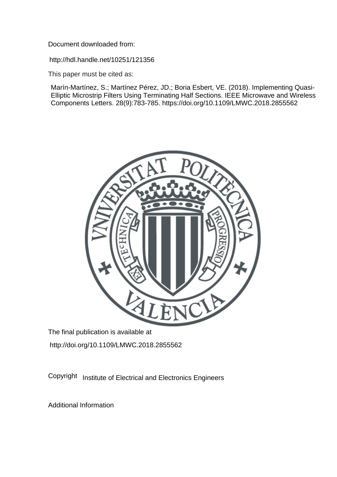Document downloaded from:

http://hdl.handle.net/10251/121356

This paper must be cited as:

Marín-Martínez, S.; Martínez Pérez, JD.; Boria Esbert, VE. (2018). Implementing Quasi-Elliptic Microstrip Filters Using Terminating Half Sections. IEEE Microwave and Wireless Components Letters. 28(9):783-785. https://doi.org/10.1109/LMWC.2018.2855562



The final publication is available at http://doi.org/10.1109/LMWC.2018.2855562

Copyright Institute of Electrical and Electronics Engineers

Additional Information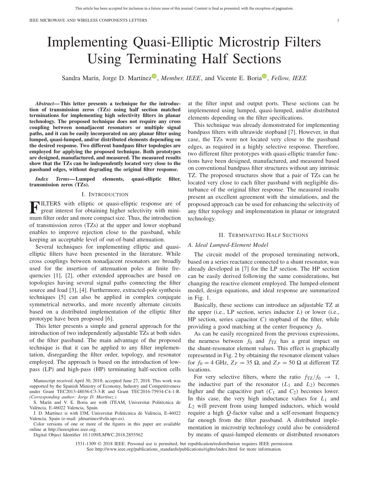# Implementing Quasi-Elliptic Microstrip Filters Using Terminating Half Sections

Sandra Marín[,](https://orcid.org/0000-0002-7119-3714) Jorge D. Martínez<sup>®</sup>, *Member, IEEE*, and Vicente E. Boria<sup>®</sup>, *Fellow, IEEE* 

*Abstract***— This letter presents a technique for the introduction of transmission zeros (TZs) using half section matched terminations for implementing high selectivity filters in planar technology. The proposed technique does not require any cross coupling between nonadjacent resonators or multiple signal paths, and it can be easily incorporated on any planar filter using lumped, quasi-lumped, and/or distributed elements depending on the desired response. Two different bandpass filter topologies are employed for applying the proposed technique. Both prototypes are designed, manufactured, and measured. The measured results show that the TZs can be independently located very close to the passband edges, without degrading the original filter response.**

*Index Terms***— Lumped elements, quasi-elliptic filter, transmission zeros (TZs).**

## I. INTRODUCTION

**FILTERS** with elliptic or quasi-elliptic response are of great interest for obtaining higher selectivity with minimum filter order and more compact size. Thus, the introduction of transmission zeros (TZs) at the upper and lower stopband enables to improve rejection close to the passband, while keeping an acceptable level of out-of-band attenuation.

Several techniques for implementing elliptic and quasielliptic filters have been presented in the literature. While cross couplings between nonadjacent resonators are broadly used for the insertion of attenuation poles at finite frequencies [1], [2], other extended approaches are based on topologies having several signal paths connecting the filter source and load [3], [4]. Furthermore, extracted-pole synthesis techniques [5] can also be applied in complex conjugate symmetrical networks, and more recently alternate circuits based on a distributed implementation of the elliptic filter prototype have been proposed [6].

This letter presents a simple and general approach for the introduction of two independently adjustable TZs at both sides of the filter passband. The main advantage of the proposed technique is that it can be applied to any filter implementation, disregarding the filter order, topology, and resonator employed. The approach is based on the introduction of lowpass (LP) and high-pass (HP) terminating half-section cells

Manuscript received April 30, 2018; accepted June 27, 2018. This work was supported by the Spanish Ministry of Economy, Industry and Competitiveness under Grant TEC2013-48036-C3-3-R and Grant TEC2016-75934-C4-1-R. *(Corresponding author: Jorge D. Martínez.)*

S. Marín and V. E. Boria are with iTEAM, Universitat Politècnica de València, E-46022 Valencia, Spain.

J. D. Martínez is with I3M, Universitat Politècnica de València, E-46022 Valencia, Spain (e-mail: jdmartinez@eln.upv.es).

Color versions of one or more of the figures in this paper are available online at http://ieeexplore.ieee.org.

Digital Object Identifier 10.1109/LMWC.2018.2855562

at the filter input and output ports. These sections can be implemented using lumped, quasi-lumped, and/or distributed elements depending on the filter specifications.

This technique was already demonstrated for implementing bandpass filters with ultrawide stopband [7]. However, in that case, the TZs were not located very close to the passband edges, as required in a highly selective response. Therefore, two different filter prototypes with quasi-elliptic transfer functions have been designed, manufactured, and measured based on conventional bandpass filter structures without any intrinsic TZ. The proposed structures show that a pair of TZs can be located very close to each filter passband with negligible disturbance of the original filter response. The measured results present an excellent agreement with the simulations, and the proposed approach can be used for enhancing the selectivity of any filter topology and implementation in planar or integrated technology.

## II. TERMINATING HALF SECTIONS

## *A. Ideal Lumped-Element Model*

The circuit model of the proposed terminating network, based on a series reactance connected to a shunt resonator, was already developed in [7] for the LP section. The HP section can be easily derived following the same considerations, but changing the reactive element employed. The lumped-element model, design equations, and ideal response are summarized in Fig. 1.

Basically, these sections can introduce an adjustable TZ at the upper (i.e., LP section, series inductor *L*) or lower (i.e., HP section, series capacitor *C*) stopband of the filter, while providing a good matching at the center frequency *f*0.

As can be easily recognized from the previous expressions, the nearness between  $f_0$  and  $f_{TZ}$  has a great impact on the shunt-resonator element values. This effect is graphically represented in Fig. 2 by obtaining the resonator element values for  $f_0 = 4$  GHz,  $Z_F = 35 \Omega$ , and  $Z_P = 50 \Omega$  at different TZ locations.

For very selective filters, where the ratio  $f_{\text{TZ}}/f_0 \rightarrow 1$ , the inductive part of the resonator  $(L_1 \text{ and } L_2)$  becomes higher and the capacitive part  $(C_1$  and  $C_2$ ) becomes lower. In this case, the very high inductance values for *L*<sup>1</sup> and *L*<sup>2</sup> will prevent from using lumped inductors, which would require a high *Q*-factor value and a self-resonant frequency far enough from the filter passband. A distributed implementation in microstrip technology could also be considered by means of quasi-lumped elements or distributed resonators

1531-1309 © 2018 IEEE. Personal use is permitted, but republication/redistribution requires IEEE permission. See http://www.ieee.org/publications\_standards/publications/rights/index.html for more information.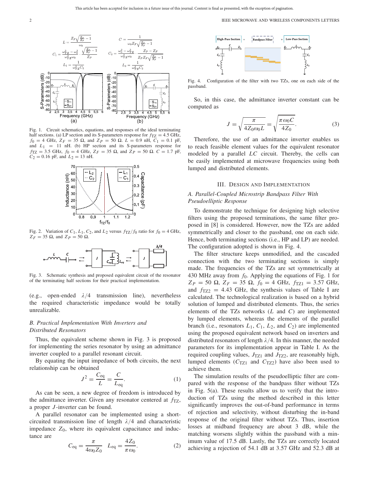2 **IEEE MICROWAVE AND WIRELESS COMPONENTS LETTERS** 

 $Z_P Z_F$  $L_2 =$  $\overline{\omega_{TZ}^2C_1}$  $\omega_{TZ}^2C_2$ (dB) (dB)  $-10$  $-20$  $-20$ o-Parameters ( Parameters  $-30$  $-40$  $-50$  $-60$  $\overline{S}_1$ S  $-70$ ώ ώ  $-80$  $3.5$  $\overline{4.5}$ Frequency (GHz) Frequency (GHz)  $(a)$  $(b)$ 

Fig. 1. Circuit schematics, equations, and responses of the ideal terminating half sections. (a) LP section and its S-parameters response for  $f_{\text{TZ}} = 4.5 \text{ GHz}$ ,  $f_0 = 4$  GHz,  $Z_F = 35 \Omega$ , and  $Z_P = 50 \Omega$ .  $L = 0.9$  nH,  $C_1 = 0.1$  pF, and  $L_1 = 11$  nH. (b) HP section and its S-parameters response for  $f_{\text{TZ}} = 3.5 \text{ GHz}, f_0 = 4 \text{ GHz}, Z_F = 35 \Omega, \text{ and } Z_P = 50 \Omega. C = 1.7 \text{ pF},$  $C_2 = 0.16$  pF, and  $L_2 = 13$  nH.



Fig. 2. Variation of  $C_1$ ,  $L_1$ ,  $C_2$ , and  $L_2$  versus  $f_{TZ}/f_0$  ratio for  $f_0 = 4$  GHz,  $Z_F = 35 \Omega$ , and  $Z_P = 50 \Omega$ .



Fig. 3. Schematic synthesis and proposed equivalent circuit of the resonator of the terminating half sections for their practical implementation.

(e.g., open-ended  $\lambda/4$  transmission line), nevertheless the required characteristic impedance would be totally unrealizable.

# *B. Practical Implementation With Inverters and Distributed Resonators*

Thus, the equivalent scheme shown in Fig. 3 is proposed for implementing the series resonator by using an admittance inverter coupled to a parallel resonant circuit.

By equating the input impedance of both circuits, the next relationship can be obtained

$$
J^2 = \frac{C_{\text{eq}}}{L} = \frac{C}{L_{\text{eq}}}.
$$
 (1)

As can be seen, a new degree of freedom is introduced by the admittance inverter. Given any resonator centered at  $f_{\text{TZ}}$ , a proper *J* -inverter can be found.

A parallel resonator can be implemented using a shortcircuited transmission line of length  $\lambda/4$  and characteristic impedance  $Z_0$ , where its equivalent capacitance and inductance are

$$
C_{\text{eq}} = \frac{\pi}{4\omega_0 Z_0} \quad L_{\text{eq}} = \frac{4Z_0}{\pi \omega_0}.
$$
 (2)



Fig. 4. Configuration of the filter with two TZs, one on each side of the passband.

So, in this case, the admittance inverter constant can be computed as

$$
J = \sqrt{\frac{\pi}{4Z_0\omega_0 L}} = \sqrt{\frac{\pi \omega_0 C}{4Z_0}}.
$$
 (3)

Therefore, the use of an admittance inverter enables us to reach feasible element values for the equivalent resonator modeled by a parallel *LC* circuit. Thereby, the cells can be easily implemented at microwave frequencies using both lumped and distributed elements.

## III. DESIGN AND IMPLEMENTATION

## *A. Parallel-Coupled Microstrip Bandpass Filter With Pseudoelliptic Response*

To demonstrate the technique for designing high selective filters using the proposed terminations, the same filter proposed in [8] is considered. However, now the TZs are added symmetrically and closer to the passband, one on each side. Hence, both terminating sections (i.e., HP and LP) are needed. The configuration adopted is shown in Fig. 4.

The filter structure keeps unmodified, and the cascaded connection with the two terminating sections is simply made. The frequencies of the TZs are set symmetrically at 430 MHz away from *f*0. Applying the equations of Fig. 1 for  $Z_P = 50 \Omega$ ,  $Z_F = 35 \Omega$ ,  $f_0 = 4 \text{ GHz}$ ,  $f_{\text{TZ1}} = 3.57 \text{ GHz}$ , and  $f_{TZ2} = 4.43$  GHz, the synthesis values of Table I are calculated. The technological realization is based on a hybrid solution of lumped and distributed elements. Thus, the series elements of the TZs networks (*L* and *C*) are implemented by lumped elements, whereas the elements of the parallel branch (i.e., resonators  $L_1$ ,  $C_1$ ,  $L_2$ , and  $C_2$ ) are implemented using the proposed equivalent network based on inverters and distributed resonators of length  $\lambda/4$ . In this manner, the needed parameters for its implementation appear in Table I. As the required coupling values,  $J_{TZ1}$  and  $J_{TZ2}$ , are reasonably high, lumped elements  $(C_{TZ1}$  and  $C_{TZ2}$ ) have also been used to achieve them.

The simulation results of the pseudoelliptic filter are compared with the response of the bandpass filter without TZs in Fig. 5(a). These results allow us to verify that the introduction of TZs using the method described in this letter significantly improves the out-of-band performance in terms of rejection and selectivity, without disturbing the in-band response of the original filter without TZs. Thus, insertion losses at midband frequency are about 3 dB, while the matching worsens slightly within the passband with a minimum value of 17.5 dB. Lastly, the TZs are correctly located achieving a rejection of 54.1 dB at 3.57 GHz and 52.3 dB at